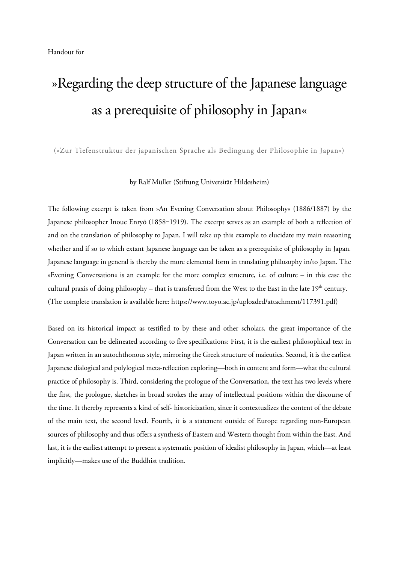## »Regarding the deep structure of the Japanese language as a prerequisite of philosophy in Japan«

(»Zur Tiefenstruktur der japanischen Sprache als Bedingung der Philosophie in Japan«)

## by Ralf Müller (Stiftung Universität Hildesheim)

The following excerpt is taken from »An Evening Conversation about Philosophy« (1886/1887) by the Japanese philosopher Inoue Enryō (1858-1919). The excerpt serves as an example of both a reflection of and on the translation of philosophy to Japan. I will take up this example to elucidate my main reasoning whether and if so to which extant Japanese language can be taken as a prerequisite of philosophy in Japan. Japanese language in general is thereby the more elemental form in translating philosophy in/to Japan. The »Evening Conversation« is an example for the more complex structure, i.e. of culture – in this case the cultural praxis of doing philosophy – that is transferred from the West to the East in the late  $19<sup>th</sup>$  century. (The complete translation is available here: https://www.toyo.ac.jp/uploaded/attachment/117391.pdf)

Based on its historical impact as testified to by these and other scholars, the great importance of the Conversation can be delineated according to five specifications: First, it is the earliest philosophical text in Japan written in an autochthonous style, mirroring the Greek structure of maieutics. Second, it is the earliest Japanese dialogical and polylogical meta-reflection exploring—both in content and form—what the cultural practice of philosophy is. Third, considering the prologue of the Conversation, the text has two levels where the first, the prologue, sketches in broad strokes the array of intellectual positions within the discourse of the time. It thereby represents a kind of self- historicization, since it contextualizes the content of the debate of the main text, the second level. Fourth, it is a statement outside of Europe regarding non-European sources of philosophy and thus offers a synthesis of Eastern and Western thought from within the East. And last, it is the earliest attempt to present a systematic position of idealist philosophy in Japan, which—at least implicitly—makes use of the Buddhist tradition.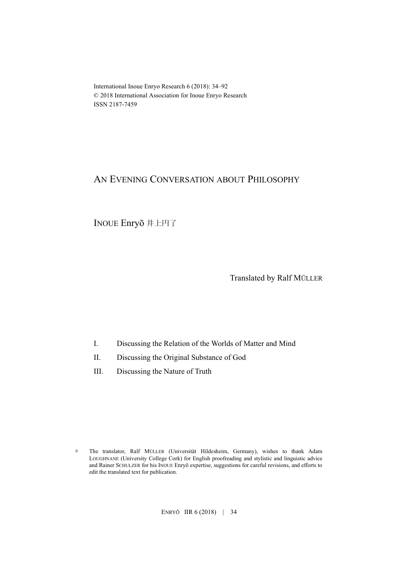International Inoue Enryo Research 6 (2018): 34–92 © 2018 International Association for Inoue Enryo Research ISSN 2187-7459

## AN EVENING CONVERSATION ABOUT PHILOSOPHY

INOUE Enryō 井上円了

Translated by Ralf MÜLLER

- I. Discussing the Relation of the Worlds of Matter and Mind
- II. Discussing the Original Substance of God
- III. Discussing the Nature of Truth

<sup>0</sup> The translator, Ralf MÜLLER (Universität Hildesheim, Germany), wishes to thank Adam LOUGHNANE (University College Cork) for English proofreading and stylistic and linguistic advice and Rainer SCHULZER for his INOUE Enryō expertise, suggestions for careful revisions, and efforts to edit the translated text for publication.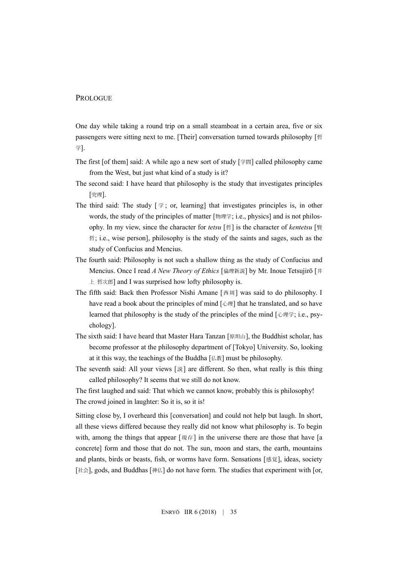## PROLOGUE

One day while taking a round trip on a small steamboat in a certain area, five or six passengers were sitting next to me. [Their] conversation turned towards philosophy [哲 学].

- The first [of them] said: A while ago a new sort of study [学問] called philosophy came from the West, but just what kind of a study is it?
- The second said: I have heard that philosophy is the study that investigates principles [究理].
- The third said: The study  $[\frac{1}{7}$ ; or, learning] that investigates principles is, in other words, the study of the principles of matter [物理学; i.e., physics] and is not philosophy. In my view, since the character for *tetsu* [哲] is the character of *kentetsu* [賢 哲; i.e., wise person], philosophy is the study of the saints and sages, such as the study of Confucius and Mencius.
- The fourth said: Philosophy is not such a shallow thing as the study of Confucius and Mencius. Once I read *A New Theory of Ethics* [倫理新説] by Mr. Inoue Tetsujirō [井 上 哲次郎] and I was surprised how lofty philosophy is.
- The fifth said: Back then Professor Nishi Amane [西周] was said to do philosophy. I have read a book about the principles of mind [心理] that he translated, and so have learned that philosophy is the study of the principles of the mind [心理学; i.e., psychology].
- The sixth said: I have heard that Master Hara Tanzan [原坦山], the Buddhist scholar, has become professor at the philosophy department of [Tokyo] University. So, looking at it this way, the teachings of the Buddha  $\lceil \frac{\text{A}}{\text{A}} \rceil$  must be philosophy.
- The seventh said: All your views [説] are different. So then, what really is this thing called philosophy? It seems that we still do not know.

The first laughed and said: That which we cannot know, probably this is philosophy! The crowd joined in laughter: So it is, so it is!

Sitting close by, I overheard this [conversation] and could not help but laugh. In short, all these views differed because they really did not know what philosophy is. To begin with, among the things that appear  $[\frac{\text{H}}{R} \cdot \frac{\text{H}}{R}]$  in the universe there are those that have [a concrete] form and those that do not. The sun, moon and stars, the earth, mountains and plants, birds or beasts, fish, or worms have form. Sensations [感覚], ideas, society [社会], gods, and Buddhas [神仏] do not have form. The studies that experiment with [or,